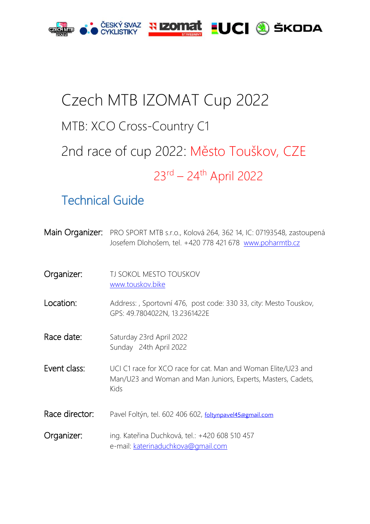

# Czech MTB IZOMAT Cup 2022 MTB: XCO Cross-Country C1 2nd race of cup 2022: Město Touškov, CZE 23<sup>rd</sup> – 24<sup>th</sup> April 2022

# Technical Guide

| Main Organizer: | PRO SPORT MTB s.r.o., Kolová 264, 362 14, IC: 07193548, zastoupená<br>Josefem Dlohošem, tel. +420 778 421 678 www.poharmtb.cz         |
|-----------------|---------------------------------------------------------------------------------------------------------------------------------------|
| Organizer:      | TJ SOKOL MESTO TOUSKOV<br>www.touskov.bike                                                                                            |
| Location:       | Address:, Sportovní 476, post code: 330 33, city: Mesto Touskov,<br>GPS: 49.7804022N, 13.2361422E                                     |
| Race date:      | Saturday 23rd April 2022<br>Sunday 24th April 2022                                                                                    |
| Event class:    | UCI C1 race for XCO race for cat. Man and Woman Elite/U23 and<br>Man/U23 and Woman and Man Juniors, Experts, Masters, Cadets,<br>Kids |
| Race director:  | Pavel Foltýn, tel. 602 406 602, foltynpavel45@gmail.com                                                                               |
| Organizer:      | ing. Kateřina Duchková, tel.: +420 608 510 457<br>e-mail: katerinaduchkova@gmail.com                                                  |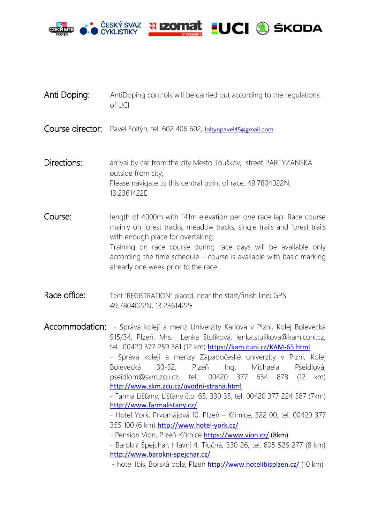

- Anti Doping: AntiDoping controls will be carried out according to the regulations of UCI
- Course director: Pavel Foltýn, tel. 602 406 602, [foltynpavel45@gmail.com](mailto:foltynpavel45@gmail.com)

Directions: arrival by car from the city Mesto Touškov, street PARTYZANSKA outside from city; Please navigate to this central point of race: 49.7804022N, 13.2361422E

**Course:** length of 4000m with 141m elevation per one race lap. Race course mainly on forest tracks, meadow tracks, single trails and forest trails with enough place for overtaking. Training on race course during race days will be available only according the time schedule – course is available with basic marking already one week prior to the race.

Race office: Tent "REGISTRATION" placed near the start/finish line; GPS 49.7804022N, 13.2361422E

Accommodation: - Správa kolejí a menz Univerzity Karlova v Plzni, Kolej Bolevecká 915/34, Plzeň, Mrs. Lenka Stulíková, lenka.stulikova@kam.cuni.cz, tel.: 00420 377 259 381 (12 km) <https://kam.cuni.cz/KAM-65.html> - Správa kolejí a menzy Západočeské univerzity v Plzni, Kolej Bolevecká 30-32, Plzeň Ing. Michaela Pšeidlová, pseidlom@skm.zcu.cz, tel.: 00420 377 634 878 (12 km) <http://www.skm.zcu.cz/uvodni-strana.html> - Farma Líšťany, Líšťany č.p. 65, 330 35, tel. 00420 377 224 587 (7km) <http://www.farmalistany.cz/> - Hotel York, Prvomájová 10, Plzeň – Křimice, 322 00, tel. 00420 377 355 100 (6 km) <http://www.hotel-york.cz/> - Pension Vion, Plzeň-Křimice <https://www.vion.cz/> (8km) - Barokní Špejchar, Hlavní 4, Tlučná, 330 26, tel. 605 526 277 (8 km) <http://www.barokni-spejchar.cz/> - hotel Ibis, Borská pole, Plzeň <http://www.hotelibisplzen.cz/> (10 km)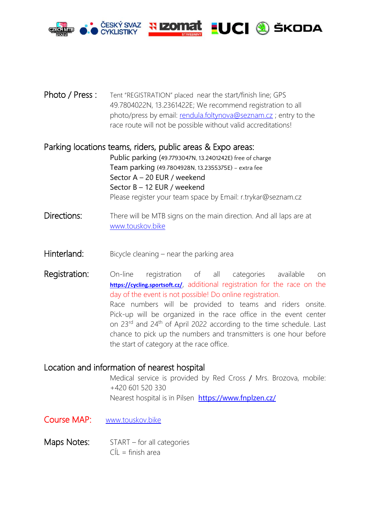

Photo / Press : Tent "REGISTRATION" placed near the start/finish line; GPS 49.7804022N, 13.2361422E; We recommend registration to all photo/press by email: [rendula.foltynova@seznam.cz](mailto:rendula.foltynova@seznam.cz) ; entry to the race route will not be possible without valid accreditations!

### Parking locations teams, riders, public areas & Expo areas:

Public parking (49.7793047N, 13.2401242E) free of charge Team parking (49.7804928N, 13.2355375E) – extra fee Sector A – 20 EUR / weekend Sector B – 12 EUR / weekend Please register your team space by Email: r.trykar@seznam.cz

- Directions: There will be MTB signs on the main direction. And all laps are at www.touskov.bike
- Hinterland: Bicycle cleaning near the parking area

**Registration:** On-line registration of all categories available on <https://cycling.sportsoft.cz/>, additional registration for the race on the day of the event is not possible! Do online registration. Race numbers will be provided to teams and riders onsite. Pick-up will be organized in the race office in the event center on 23rd and 24th of April 2022 according to the time schedule. Last chance to pick up the numbers and transmitters is one hour before the start of category at the race office.

#### Location and information of nearest hospital

Medical service is provided by Red Cross / Mrs. Brozova, mobile: +420 601 520 330 Nearest hospital is ïn Pilsen <https://www.fnplzen.cz/>

- Course MAP: www.touskov.bike
- Maps Notes: START for all categories  $C(1)$  = finish area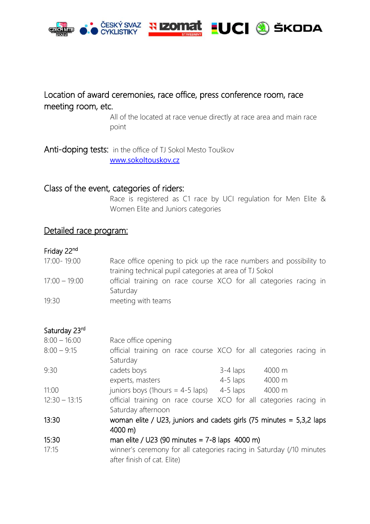

## Location of award ceremonies, race office, press conference room, race meeting room, etc.

All of the located at race venue directly at race area and main race point

Anti-doping tests: in the office of TJ Sokol Mesto Touškov [www.sokoltouskov.cz](http://www.sokoltouskov.cz/)

#### Class of the event, categories of riders:

Race is registered as C1 race by UCI regulation for Men Elite & Women Elite and Juniors categories

#### Detailed race program:

#### Friday 22nd

| 17:00 - 19:00   | Race office opening to pick up the race numbers and possibility to |
|-----------------|--------------------------------------------------------------------|
|                 | training technical pupil categories at area of TJ Sokol            |
| $17:00 - 19:00$ | official training on race course XCO for all categories racing in  |
|                 | Saturday                                                           |
| 19:30           | meeting with teams                                                 |

#### Saturday 23rd

| $8:00 - 16:00$  | Race office opening                                                    |        |  |
|-----------------|------------------------------------------------------------------------|--------|--|
| $8:00 - 9:15$   | official training on race course XCO for all categories racing in      |        |  |
|                 | Saturday                                                               |        |  |
| 9:30            | cadets boys<br>$3-4$ laps                                              | 4000 m |  |
|                 | 4-5 laps<br>experts, masters                                           | 4000 m |  |
| 11:00           | juniors boys (1 hours = $4-5$ laps) 4-5 laps                           | 4000 m |  |
| $12:30 - 13:15$ | official training on race course XCO for all categories racing in      |        |  |
|                 | Saturday afternoon                                                     |        |  |
| 13:30           | woman elite / U23, juniors and cadets girls (75 minutes $=$ 5,3,2 laps |        |  |
|                 | $4000 \text{ m}$                                                       |        |  |
| 15:30           | man elite / U23 (90 minutes = $7-8$ laps 4000 m)                       |        |  |
| 17:15           | winner's ceremony for all categories racing in Saturday (/10 minutes   |        |  |
|                 | after finish of cat. Elite)                                            |        |  |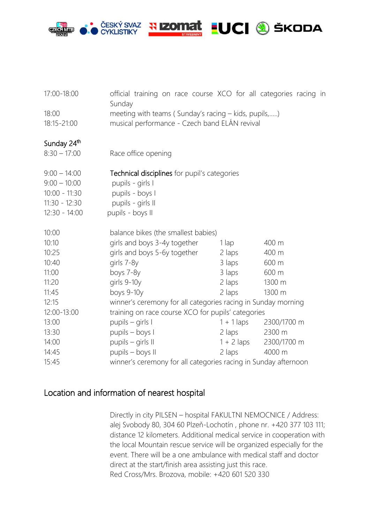

| 17:00-18:00             | official training on race course XCO for all categories racing in<br>Sunday |                                                                                                       |             |  |
|-------------------------|-----------------------------------------------------------------------------|-------------------------------------------------------------------------------------------------------|-------------|--|
| 18:00<br>18:15-21:00    |                                                                             | meeting with teams (Sunday's racing - kids, pupils,)<br>musical performance - Czech band ELÁN revival |             |  |
|                         |                                                                             |                                                                                                       |             |  |
| Sunday 24 <sup>th</sup> |                                                                             |                                                                                                       |             |  |
| $8:30 - 17:00$          | Race office opening                                                         |                                                                                                       |             |  |
| $9:00 - 14:00$          | Technical disciplines for pupil's categories                                |                                                                                                       |             |  |
| $9:00 - 10:00$          | pupils - girls I                                                            |                                                                                                       |             |  |
| $10:00 - 11:30$         | pupils - boys I                                                             |                                                                                                       |             |  |
| $11:30 - 12:30$         | pupils - girls II                                                           |                                                                                                       |             |  |
| $12:30 - 14:00$         | pupils - boys II                                                            |                                                                                                       |             |  |
| 10:00                   |                                                                             | balance bikes (the smallest babies)                                                                   |             |  |
| 10:10                   | girls and boys 3-4y together                                                | $1$ lap                                                                                               | 400 m       |  |
| 10:25                   | girls and boys 5-6y together                                                | 2 laps                                                                                                | 400 m       |  |
| 10:40                   | girls 7-8y                                                                  | 3 laps                                                                                                | 600 m       |  |
| 11:00                   | boys 7-8y                                                                   | 3 laps                                                                                                | 600 m       |  |
| 11:20                   | girls 9-10y                                                                 | 2 laps                                                                                                | 1300 m      |  |
| 11:45                   | boys 9-10y                                                                  | 2 laps                                                                                                | 1300 m      |  |
| 12:15                   |                                                                             | winner's ceremony for all categories racing in Sunday morning                                         |             |  |
| 12:00-13:00             |                                                                             | training on race course XCO for pupils' categories                                                    |             |  |
| 13:00                   | pupils - girls I                                                            | $1 + 1$ laps                                                                                          | 2300/1700 m |  |
| 13:30                   | pupils - boys I                                                             | 2 laps                                                                                                | 2300 m      |  |
| 14:00                   | pupils - girls II                                                           | $1 + 2$ laps                                                                                          | 2300/1700 m |  |
| 14:45                   | pupils - boys II                                                            | 2 laps                                                                                                | 4000 m      |  |
| 15:45                   |                                                                             | winner's ceremony for all categories racing in Sunday afternoon                                       |             |  |

# Location and information of nearest hospital

Directly in city PILSEN – hospital FAKULTNI NEMOCNICE / Address: alej Svobody 80, 304 60 Plzeň-Lochotín , phone nr. +420 377 103 111; distance 12 kilometers. Additional medical service in cooperation with the local Mountain rescue service will be organized especially for the event. There will be a one ambulance with medical staff and doctor direct at the start/finish area assisting just this race. Red Cross/Mrs. Brozova, mobile: +420 601 520 330